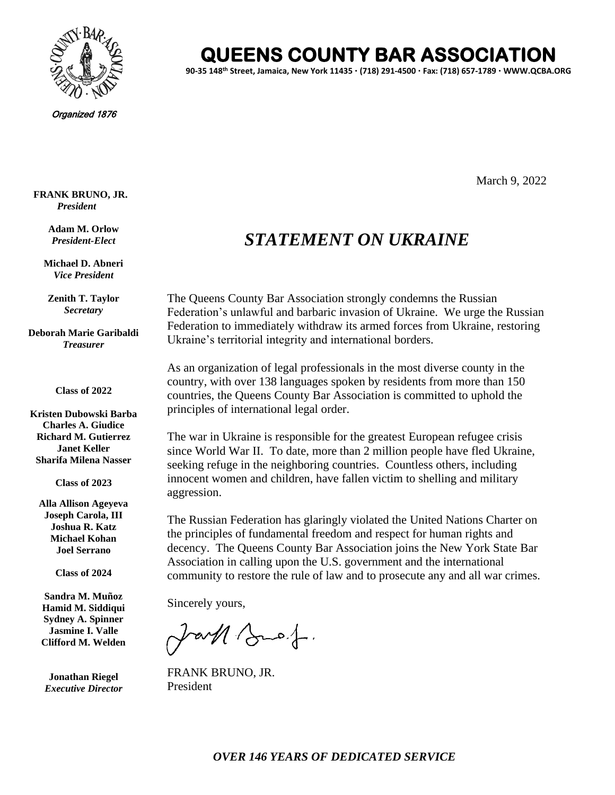

**QUEENS COUNTY BAR ASSOCIATION** 

**90-35 148th Street, Jamaica, New York 11435 (718) 291-4500 Fax: (718) 657-1789 WWW.QCBA.ORG**

Organized 1876

**FRANK BRUNO, JR.** *President*

> **Adam M. Orlow** *President-Elect*

**Michael D. Abneri** *Vice President*

**Zenith T. Taylor** *Secretary*

**Deborah Marie Garibaldi** *Treasurer*

**Class of 2022**

**Kristen Dubowski Barba Charles A. Giudice Richard M. Gutierrez Janet Keller Sharifa Milena Nasser**

**Class of 2023**

**Alla Allison Ageyeva Joseph Carola, III Joshua R. Katz Michael Kohan Joel Serrano**

**Class of 2024**

**Sandra M. Muñoz Hamid M. Siddiqui Sydney A. Spinner Jasmine I. Valle Clifford M. Welden**

**Jonathan Riegel** *Executive Director* March 9, 2022

## *STATEMENT ON UKRAINE*

The Queens County Bar Association strongly condemns the Russian Federation's unlawful and barbaric invasion of Ukraine. We urge the Russian Federation to immediately withdraw its armed forces from Ukraine, restoring Ukraine's territorial integrity and international borders.

As an organization of legal professionals in the most diverse county in the country, with over 138 languages spoken by residents from more than 150 countries, the Queens County Bar Association is committed to uphold the principles of international legal order.

The war in Ukraine is responsible for the greatest European refugee crisis since World War II. To date, more than 2 million people have fled Ukraine, seeking refuge in the neighboring countries. Countless others, including innocent women and children, have fallen victim to shelling and military aggression.

The Russian Federation has glaringly violated the United Nations Charter on the principles of fundamental freedom and respect for human rights and decency. The Queens County Bar Association joins the New York State Bar Association in calling upon the U.S. government and the international community to restore the rule of law and to prosecute any and all war crimes.

Sincerely yours,

JaM Buef.

FRANK BRUNO, JR. President

 *OVER 146 YEARS OF DEDICATED SERVICE*